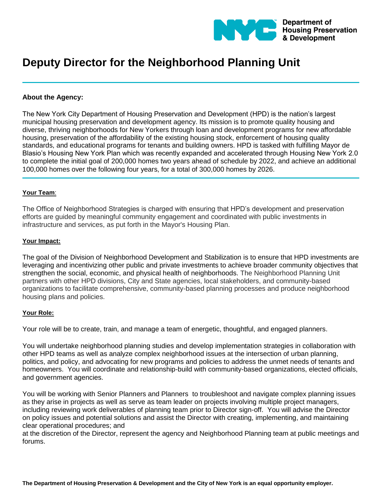

# **Deputy Director for the Neighborhood Planning Unit**

## **About the Agency:**

The New York City Department of Housing Preservation and Development (HPD) is the nation's largest municipal housing preservation and development agency. Its mission is to promote quality housing and diverse, thriving neighborhoods for New Yorkers through loan and development programs for new affordable housing, preservation of the affordability of the existing housing stock, enforcement of housing quality standards, and educational programs for tenants and building owners. HPD is tasked with fulfilling Mayor de Blasio's Housing New York Plan which was recently expanded and accelerated through Housing New York 2.0 to complete the initial goal of 200,000 homes two years ahead of schedule by 2022, and achieve an additional 100,000 homes over the following four years, for a total of 300,000 homes by 2026.

### **Your Team**:

The Office of Neighborhood Strategies is charged with ensuring that HPD's development and preservation efforts are guided by meaningful community engagement and coordinated with public investments in infrastructure and services, as put forth in the Mayor's Housing Plan.

#### **Your Impact:**

The goal of the Division of Neighborhood Development and Stabilization is to ensure that HPD investments are leveraging and incentivizing other public and private investments to achieve broader community objectives that strengthen the social, economic, and physical health of neighborhoods. The Neighborhood Planning Unit partners with other HPD divisions, City and State agencies, local stakeholders, and community-based organizations to facilitate comprehensive, community-based planning processes and produce neighborhood housing plans and policies.

#### **Your Role:**

Your role will be to create, train, and manage a team of energetic, thoughtful, and engaged planners.

You will undertake neighborhood planning studies and develop implementation strategies in collaboration with other HPD teams as well as analyze complex neighborhood issues at the intersection of urban planning, politics, and policy, and advocating for new programs and policies to address the unmet needs of tenants and homeowners. You will coordinate and relationship-build with community-based organizations, elected officials, and government agencies.

You will be working with Senior Planners and Planners to troubleshoot and navigate complex planning issues as they arise in projects as well as serve as team leader on projects involving multiple project managers, including reviewing work deliverables of planning team prior to Director sign-off. You will advise the Director on policy issues and potential solutions and assist the Director with creating, implementing, and maintaining clear operational procedures; and

at the discretion of the Director, represent the agency and Neighborhood Planning team at public meetings and forums.